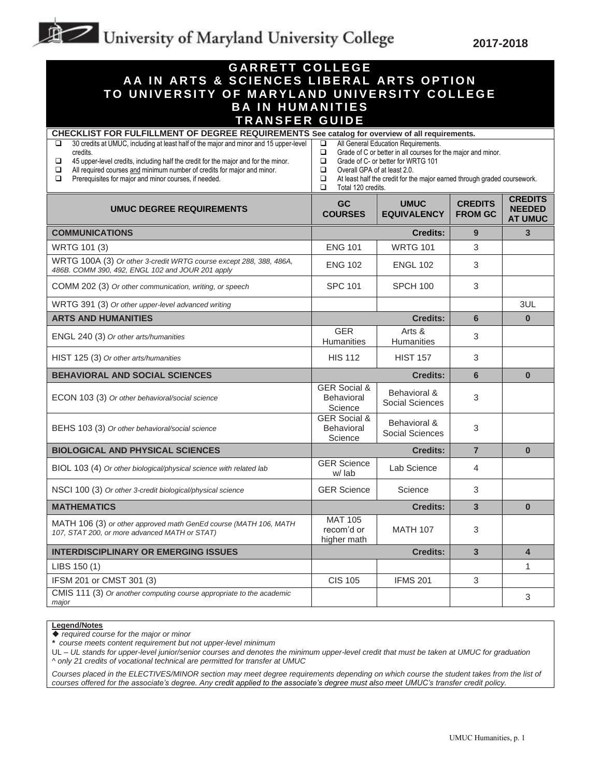## University of Maryland University College

**2017-2018**

| <b>GARRETT COLLEGE</b><br>AA IN ARTS & SCIENCES LIBERAL ARTS OPTION<br>TO UNIVERSITY OF MARYLAND UNIVERSITY COLLEGE<br><b>BA IN HUMANITIES</b><br><b>TRANSFER GUIDE</b>                                                                                                                                                                                                                                                                                |                                                                                                                                                                                                                                                                                                                |                                   |                                  |                                                   |  |  |  |
|--------------------------------------------------------------------------------------------------------------------------------------------------------------------------------------------------------------------------------------------------------------------------------------------------------------------------------------------------------------------------------------------------------------------------------------------------------|----------------------------------------------------------------------------------------------------------------------------------------------------------------------------------------------------------------------------------------------------------------------------------------------------------------|-----------------------------------|----------------------------------|---------------------------------------------------|--|--|--|
| CHECKLIST FOR FULFILLMENT OF DEGREE REQUIREMENTS See catalog for overview of all requirements.<br>30 credits at UMUC, including at least half of the major and minor and 15 upper-level<br>□<br>credits.<br>$\Box$<br>45 upper-level credits, including half the credit for the major and for the minor.<br>All required courses and minimum number of credits for major and minor.<br>□<br>Prerequisites for major and minor courses, if needed.<br>❏ | All General Education Requirements.<br>$\Box$<br>Grade of C or better in all courses for the major and minor.<br>❏<br>□<br>Grade of C- or better for WRTG 101<br>Overall GPA of at least 2.0.<br>□<br>❏<br>At least half the credit for the major earned through graded coursework.<br>□<br>Total 120 credits. |                                   |                                  |                                                   |  |  |  |
| <b>UMUC DEGREE REQUIREMENTS</b>                                                                                                                                                                                                                                                                                                                                                                                                                        | GC<br><b>COURSES</b>                                                                                                                                                                                                                                                                                           | <b>UMUC</b><br><b>EQUIVALENCY</b> | <b>CREDITS</b><br><b>FROM GC</b> | <b>CREDITS</b><br><b>NEEDED</b><br><b>AT UMUC</b> |  |  |  |
| <b>COMMUNICATIONS</b>                                                                                                                                                                                                                                                                                                                                                                                                                                  |                                                                                                                                                                                                                                                                                                                | <b>Credits:</b>                   | 9                                | 3                                                 |  |  |  |
| WRTG 101 (3)                                                                                                                                                                                                                                                                                                                                                                                                                                           | <b>ENG 101</b>                                                                                                                                                                                                                                                                                                 | <b>WRTG 101</b>                   | 3                                |                                                   |  |  |  |
| WRTG 100A (3) Or other 3-credit WRTG course except 288, 388, 486A,<br>486B. COMM 390, 492, ENGL 102 and JOUR 201 apply                                                                                                                                                                                                                                                                                                                                 | <b>ENG 102</b>                                                                                                                                                                                                                                                                                                 | <b>ENGL 102</b>                   | 3                                |                                                   |  |  |  |
| COMM 202 (3) Or other communication, writing, or speech                                                                                                                                                                                                                                                                                                                                                                                                | <b>SPC 101</b>                                                                                                                                                                                                                                                                                                 | <b>SPCH 100</b>                   | 3                                |                                                   |  |  |  |
| WRTG 391 (3) Or other upper-level advanced writing                                                                                                                                                                                                                                                                                                                                                                                                     |                                                                                                                                                                                                                                                                                                                |                                   |                                  | 3UL                                               |  |  |  |
| <b>ARTS AND HUMANITIES</b>                                                                                                                                                                                                                                                                                                                                                                                                                             |                                                                                                                                                                                                                                                                                                                | <b>Credits:</b>                   | $6\phantom{1}$                   | $\bf{0}$                                          |  |  |  |
| ENGL 240 (3) Or other arts/humanities                                                                                                                                                                                                                                                                                                                                                                                                                  | <b>GER</b><br>Humanities                                                                                                                                                                                                                                                                                       | Arts &<br>Humanities              | 3                                |                                                   |  |  |  |
| HIST 125 (3) Or other arts/humanities                                                                                                                                                                                                                                                                                                                                                                                                                  | <b>HIS 112</b>                                                                                                                                                                                                                                                                                                 | <b>HIST 157</b>                   | 3                                |                                                   |  |  |  |
| <b>BEHAVIORAL AND SOCIAL SCIENCES</b>                                                                                                                                                                                                                                                                                                                                                                                                                  |                                                                                                                                                                                                                                                                                                                | <b>Credits:</b>                   | $6\phantom{a}$                   | $\bf{0}$                                          |  |  |  |
| ECON 103 (3) Or other behavioral/social science                                                                                                                                                                                                                                                                                                                                                                                                        | <b>GER Social &amp;</b><br>Behavioral<br>Science                                                                                                                                                                                                                                                               | Behavioral &<br>Social Sciences   | 3                                |                                                   |  |  |  |
| BEHS 103 (3) Or other behavioral/social science                                                                                                                                                                                                                                                                                                                                                                                                        | <b>GER Social &amp;</b><br>Behavioral<br>Science                                                                                                                                                                                                                                                               | Behavioral &<br>Social Sciences   | 3                                |                                                   |  |  |  |
| <b>BIOLOGICAL AND PHYSICAL SCIENCES</b>                                                                                                                                                                                                                                                                                                                                                                                                                | $\overline{7}$<br><b>Credits:</b>                                                                                                                                                                                                                                                                              |                                   | $\bf{0}$                         |                                                   |  |  |  |
| BIOL 103 (4) Or other biological/physical science with related lab                                                                                                                                                                                                                                                                                                                                                                                     | <b>GER Science</b><br>w/lab                                                                                                                                                                                                                                                                                    | Lab Science                       | 4                                |                                                   |  |  |  |
| NSCI 100 (3) Or other 3-credit biological/physical science                                                                                                                                                                                                                                                                                                                                                                                             | <b>GER Science</b>                                                                                                                                                                                                                                                                                             | Science                           | 3                                |                                                   |  |  |  |
| <b>MATHEMATICS</b>                                                                                                                                                                                                                                                                                                                                                                                                                                     |                                                                                                                                                                                                                                                                                                                | <b>Credits:</b>                   | 3                                | $\bf{0}$                                          |  |  |  |
| MATH 106 (3) or other approved math GenEd course (MATH 106, MATH<br>107, STAT 200, or more advanced MATH or STAT)                                                                                                                                                                                                                                                                                                                                      | <b>MAT 105</b><br>recom'd or<br>higher math                                                                                                                                                                                                                                                                    | <b>MATH 107</b>                   | 3                                |                                                   |  |  |  |
| <b>INTERDISCIPLINARY OR EMERGING ISSUES</b>                                                                                                                                                                                                                                                                                                                                                                                                            |                                                                                                                                                                                                                                                                                                                | <b>Credits:</b>                   | 3                                | $\overline{\mathbf{4}}$                           |  |  |  |
| LIBS 150 (1)                                                                                                                                                                                                                                                                                                                                                                                                                                           |                                                                                                                                                                                                                                                                                                                |                                   |                                  | 1                                                 |  |  |  |
| IFSM 201 or CMST 301 (3)                                                                                                                                                                                                                                                                                                                                                                                                                               | <b>CIS 105</b>                                                                                                                                                                                                                                                                                                 | <b>IFMS 201</b>                   | 3                                |                                                   |  |  |  |
| CMIS 111 (3) Or another computing course appropriate to the academic<br>major                                                                                                                                                                                                                                                                                                                                                                          |                                                                                                                                                                                                                                                                                                                |                                   |                                  | 3                                                 |  |  |  |

## **Legend/Notes**

*required course for the major or minor*

UL *– UL stands for upper-level junior/senior courses and denotes the minimum upper-level credit that must be taken at UMUC for graduation ^ only 21 credits of vocational technical are permitted for transfer at UMUC*

*Courses placed in the ELECTIVES/MINOR section may meet degree requirements depending on which course the student takes from the list of courses offered for the associate's degree. Any credit applied to the associate's degree must also meet UMUC's transfer credit policy.*

*<sup>\*</sup> course meets content requirement but not upper-level minimum*